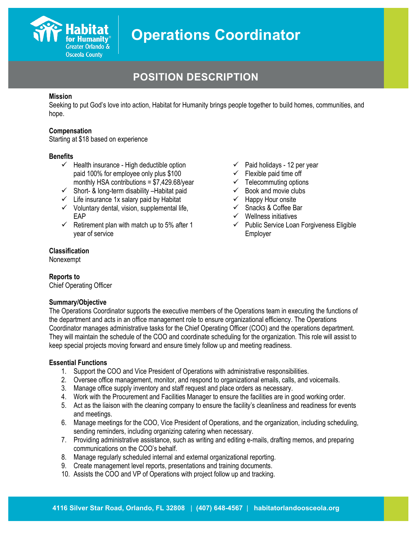

## **POSITION DESCRIPTION**

#### **Mission**

Seeking to put God's love into action, Habitat for Humanity brings people together to build homes, communities, and hope.

#### **Compensation**

Starting at \$18 based on experience

#### **Benefits**

- $\checkmark$  Health insurance High deductible option paid 100% for employee only plus \$100 monthly HSA contributions = \$7,429.68/year
- $\checkmark$  Short- & long-term disability Habitat paid
- $\checkmark$  Life insurance 1x salary paid by Habitat
- $\checkmark$  Voluntary dental, vision, supplemental life, EAP
- $\checkmark$  Retirement plan with match up to 5% after 1 year of service
- $\checkmark$  Paid holidays 12 per year
- $\checkmark$  Flexible paid time off
- $\checkmark$  Telecommuting options
- $\checkmark$  Book and movie clubs
- $\checkmark$  Happy Hour onsite
- $\checkmark$  Snacks & Coffee Bar
- $\checkmark$  Wellness initiatives
- $\checkmark$  Public Service Loan Forgiveness Eligible Employer

#### **Classification**

Nonexempt

#### **Reports to**

Chief Operating Officer

#### **Summary/Objective**

The Operations Coordinator supports the executive members of the Operations team in executing the functions of the department and acts in an office management role to ensure organizational efficiency. The Operations Coordinator manages administrative tasks for the Chief Operating Officer (COO) and the operations department. They will maintain the schedule of the COO and coordinate scheduling for the organization. This role will assist to keep special projects moving forward and ensure timely follow up and meeting readiness.

#### **Essential Functions**

- 1. Support the COO and Vice President of Operations with administrative responsibilities.
- 2. Oversee office management, monitor, and respond to organizational emails, calls, and voicemails.
- 3. Manage office supply inventory and staff request and place orders as necessary.
- 4. Work with the Procurement and Facilities Manager to ensure the facilities are in good working order.
- 5. Act as the liaison with the cleaning company to ensure the facility's cleanliness and readiness for events and meetings.
- 6. Manage meetings for the COO, Vice President of Operations, and the organization, including scheduling, sending reminders, including organizing catering when necessary.
- 7. Providing administrative assistance, such as writing and editing e-mails, drafting memos, and preparing communications on the COO's behalf.
- 8. Manage regularly scheduled internal and external organizational reporting.
- 9. Create management level reports, presentations and training documents.
- 10. Assists the COO and VP of Operations with project follow up and tracking.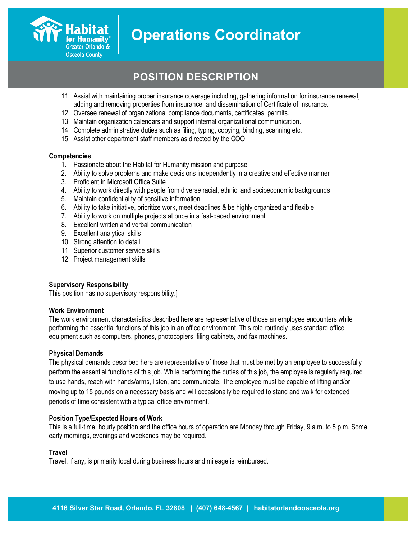

## **POSITION DESCRIPTION**

- 11. Assist with maintaining proper insurance coverage including, gathering information for insurance renewal, adding and removing properties from insurance, and dissemination of Certificate of Insurance.
- 12. Oversee renewal of organizational compliance documents, certificates, permits.
- 13. Maintain organization calendars and support internal organizational communication.
- 14. Complete administrative duties such as filing, typing, copying, binding, scanning etc.
- 15. Assist other department staff members as directed by the COO.

#### **Competencies**

- 1. Passionate about the Habitat for Humanity mission and purpose
- 2. Ability to solve problems and make decisions independently in a creative and effective manner
- 3. Proficient in Microsoft Office Suite
- 4. Ability to work directly with people from diverse racial, ethnic, and socioeconomic backgrounds
- 5. Maintain confidentiality of sensitive information
- 6. Ability to take initiative, prioritize work, meet deadlines & be highly organized and flexible
- 7. Ability to work on multiple projects at once in a fast-paced environment
- 8. Excellent written and verbal communication
- 9. Excellent analytical skills
- 10. Strong attention to detail
- 11. Superior customer service skills
- 12. Project management skills

#### **Supervisory Responsibility**

This position has no supervisory responsibility.]

#### **Work Environment**

The work environment characteristics described here are representative of those an employee encounters while performing the essential functions of this job in an office environment. This role routinely uses standard office equipment such as computers, phones, photocopiers, filing cabinets, and fax machines.

#### **Physical Demands**

The physical demands described here are representative of those that must be met by an employee to successfully perform the essential functions of this job. While performing the duties of this job, the employee is regularly required to use hands, reach with hands/arms, listen, and communicate. The employee must be capable of lifting and/or moving up to 15 pounds on a necessary basis and will occasionally be required to stand and walk for extended periods of time consistent with a typical office environment.

#### **Position Type/Expected Hours of Work**

This is a full-time, hourly position and the office hours of operation are Monday through Friday, 9 a.m. to 5 p.m. Some early mornings, evenings and weekends may be required.

#### **Travel**

Travel, if any, is primarily local during business hours and mileage is reimbursed.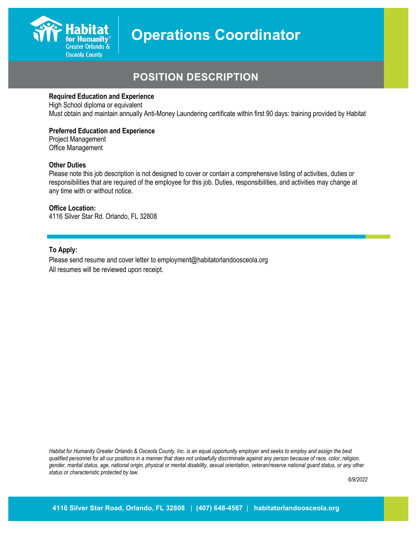

## **POSITION DESCRIPTION**

#### **Required Education and Experience**

High School diploma or equivalent Must obtain and maintain annually Anti-Money Laundering certificate within first 90 days: training provided by Habitat

#### **Preferred Education and Experience**

Project Management Office Management

#### **Other Duties**

Please note this job description is not designed to cover or contain a comprehensive listing of activities, duties or responsibilities that are required of the employee for this job. Duties, responsibilities, and activities may change at any time with or without notice.

### **Office Location:**

4116 Silver Star Rd. Orlando, FL 32808

#### **To Apply:**

Please send resume and cover letter to employment@habitatorlandoosceola.org All resumes will be reviewed upon receipt.

*Habitat for Humanity Greater Orlando & Osceola County, Inc. is an equal opportunity employer and seeks to employ and assign the best qualified personnel for all our positions in a manner that does not unlawfully discriminate against any person because of race, color, religion, gender, marital status, age, national origin, physical or mental disability, sexual orientation, veteran/reserve national guard status, or any other status or characteristic protected by law.*

*6/9/2022*